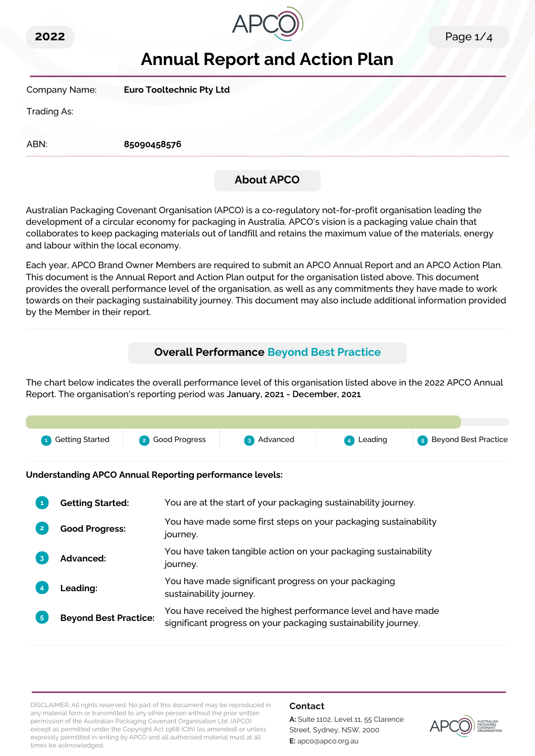



# **Annual Report and Action Plan**

Company Name: **Euro Tooltechnic Pty Ltd**

Trading As:

ABN: **85090458576**

# **About APCO**

Australian Packaging Covenant Organisation (APCO) is a co-regulatory not-for-profit organisation leading the development of a circular economy for packaging in Australia. APCO's vision is a packaging value chain that collaborates to keep packaging materials out of landfill and retains the maximum value of the materials, energy and labour within the local economy.

Each year, APCO Brand Owner Members are required to submit an APCO Annual Report and an APCO Action Plan. This document is the Annual Report and Action Plan output for the organisation listed above. This document provides the overall performance level of the organisation, as well as any commitments they have made to work towards on their packaging sustainability journey. This document may also include additional information provided by the Member in their report.

# **Overall Performance Beyond Best Practice**

The chart below indicates the overall performance level of this organisation listed above in the 2022 APCO Annual Report. The organisation's reporting period was **January, 2021 - December, 2021**.



**Understanding APCO Annual Reporting performance levels:**

| 1              | <b>Getting Started:</b>      | You are at the start of your packaging sustainability journey.                                                                  |
|----------------|------------------------------|---------------------------------------------------------------------------------------------------------------------------------|
| $\overline{2}$ | <b>Good Progress:</b>        | You have made some first steps on your packaging sustainability<br>journey.                                                     |
| $\overline{3}$ | <b>Advanced:</b>             | You have taken tangible action on your packaging sustainability<br>journey.                                                     |
|                | Leading:                     | You have made significant progress on your packaging<br>sustainability journey.                                                 |
| 5 <sup>1</sup> | <b>Beyond Best Practice:</b> | You have received the highest performance level and have made<br>significant progress on your packaging sustainability journey. |

DISCLAIMER: All rights reserved. No part of this document may be reproduced in any material form or transmitted to any other person without the prior written permission of the Australian Packaging Covenant Organisation Ltd. (APCO) except as permitted under the Copyright Act 1968 (Cth) (as amended) or unless expressly permitted in writing by APCO and all authorised material must at all times be acknowledged.

### **Contact**

**A:** Suite 1102, Level 11, 55 Clarence Street, Sydney, NSW, 2000 **E:** apco@apco.org.au

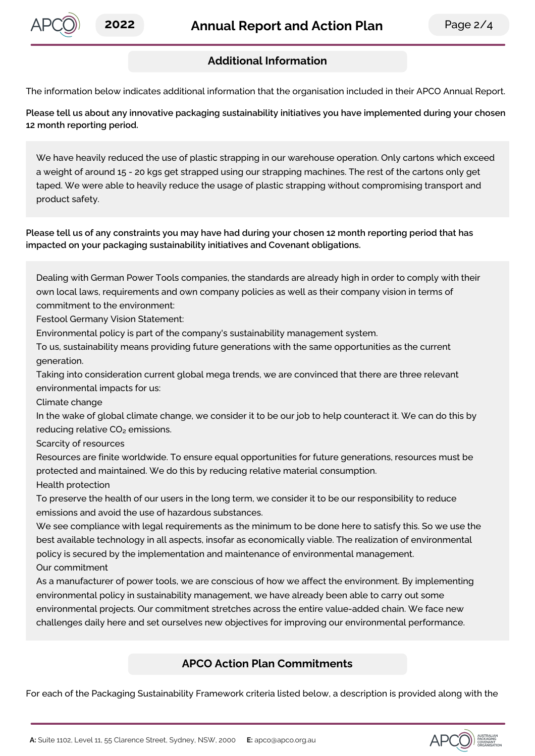

# **Additional Information**

The information below indicates additional information that the organisation included in their APCO Annual Report.

**Please tell us about any innovative packaging sustainability initiatives you have implemented during your chosen 12 month reporting period.**

We have heavily reduced the use of plastic strapping in our warehouse operation. Only cartons which exceed a weight of around 15 - 20 kgs get strapped using our strapping machines. The rest of the cartons only get taped. We were able to heavily reduce the usage of plastic strapping without compromising transport and product safety.

Please tell us of any constraints you may have had during your chosen 12 month reporting period that has **impacted on your packaging sustainability initiatives and Covenant obligations.**

Dealing with German Power Tools companies, the standards are already high in order to comply with their own local laws, requirements and own company policies as well as their company vision in terms of commitment to the environment:

Festool Germany Vision Statement:

Environmental policy is part of the company's sustainability management system.

To us, sustainability means providing future generations with the same opportunities as the current generation.

Taking into consideration current global mega trends, we are convinced that there are three relevant environmental impacts for us:

Climate change

In the wake of global climate change, we consider it to be our job to help counteract it. We can do this by reducing relative CO₂ emissions.

Scarcity of resources

Resources are finite worldwide. To ensure equal opportunities for future generations, resources must be protected and maintained. We do this by reducing relative material consumption.

Health protection

To preserve the health of our users in the long term, we consider it to be our responsibility to reduce emissions and avoid the use of hazardous substances.

We see compliance with legal requirements as the minimum to be done here to satisfy this. So we use the best available technology in all aspects, insofar as economically viable. The realization of environmental policy is secured by the implementation and maintenance of environmental management. Our commitment

As a manufacturer of power tools, we are conscious of how we affect the environment. By implementing environmental policy in sustainability management, we have already been able to carry out some environmental projects. Our commitment stretches across the entire value-added chain. We face new challenges daily here and set ourselves new objectives for improving our environmental performance.

# **APCO Action Plan Commitments**

For each of the Packaging Sustainability Framework criteria listed below, a description is provided along with the

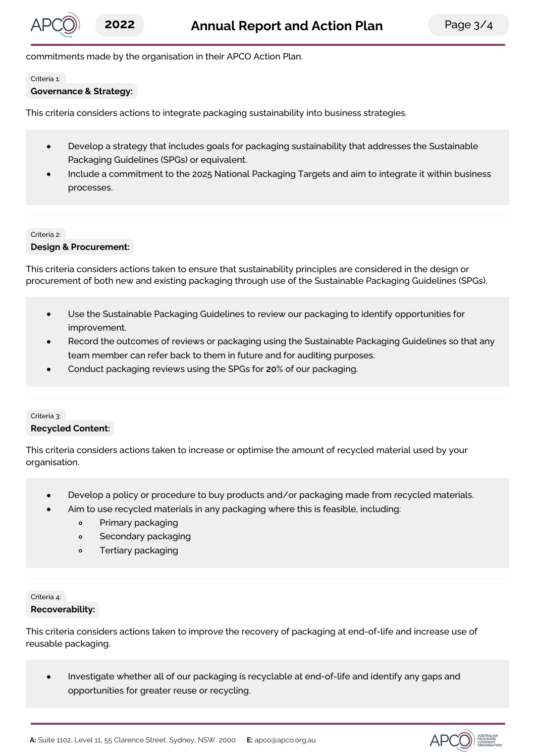commitments made by the organisation in their APCO Action Plan.

Criteria 1:

#### **Governance & Strategy:**

This criteria considers actions to integrate packaging sustainability into business strategies.

- Develop a strategy that includes goals for packaging sustainability that addresses the Sustainable  $\bullet$ Packaging Guidelines (SPGs) or equivalent.
- Include a commitment to the 2025 National Packaging Targets and aim to integrate it within business processes.

#### Criteria 2:

#### **Design & Procurement:**

This criteria considers actions taken to ensure that sustainability principles are considered in the design or procurement of both new and existing packaging through use of the Sustainable Packaging Guidelines (SPGs).

- Use the Sustainable Packaging Guidelines to review our packaging to identify opportunities for  $\bullet$ improvement.
- Record the outcomes of reviews or packaging using the Sustainable Packaging Guidelines so that any team member can refer back to them in future and for auditing purposes.
- Conduct packaging reviews using the SPGs for **20**% of our packaging.

## Criteria 3: **Recycled Content:**

This criteria considers actions taken to increase or optimise the amount of recycled material used by your organisation.

- Develop a policy or procedure to buy products and/or packaging made from recycled materials.  $\bullet$
- Aim to use recycled materials in any packaging where this is feasible, including:
	- $\circ$ Primary packaging
	- $\circ$ Secondary packaging
	- Tertiary packaging  $\Omega$

#### Criteria 4: **Recoverability:**

This criteria considers actions taken to improve the recovery of packaging at end-of-life and increase use of reusable packaging.

Investigate whether all of our packaging is recyclable at end-of-life and identify any gaps and  $\bullet$ opportunities for greater reuse or recycling.